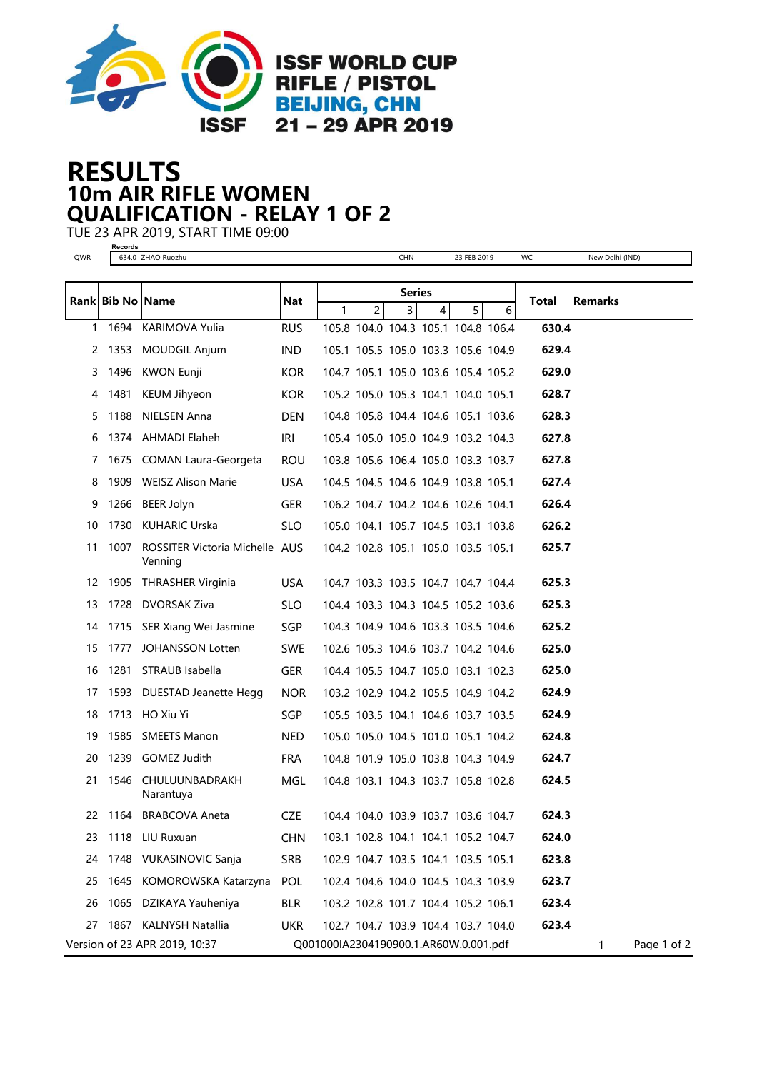

## 10m AIR RIFLE WOMEN RESULTS QUALIFICATION - RELAY 1 OF 2

TUE 23 APR 2019, START TIME 09:00 **Records**

| QWR | necorus          | 634.0 ZHAO Ruozhu                         |            |                                       |                | CHN                |   | 23 FEB 2019                         |   | WC    | New Delhi (IND) |             |
|-----|------------------|-------------------------------------------|------------|---------------------------------------|----------------|--------------------|---|-------------------------------------|---|-------|-----------------|-------------|
|     |                  |                                           |            |                                       |                |                    |   |                                     |   |       |                 |             |
|     | Rank Bib No Name |                                           | Nat        | 1.                                    | $\overline{2}$ | <b>Series</b><br>3 | 4 | 5                                   | 6 | Total | <b>Remarks</b>  |             |
| 1   | 1694             | KARIMOVA Yulia                            | <b>RUS</b> |                                       |                |                    |   | 105.8 104.0 104.3 105.1 104.8 106.4 |   | 630.4 |                 |             |
| 2   |                  | 1353 MOUDGIL Anjum                        | IND.       |                                       |                |                    |   | 105.1 105.5 105.0 103.3 105.6 104.9 |   | 629.4 |                 |             |
| 3   |                  | 1496 KWON Eunji                           | <b>KOR</b> |                                       |                |                    |   | 104.7 105.1 105.0 103.6 105.4 105.2 |   | 629.0 |                 |             |
| 4   | 1481             | <b>KEUM Jihyeon</b>                       | <b>KOR</b> |                                       |                |                    |   | 105.2 105.0 105.3 104.1 104.0 105.1 |   | 628.7 |                 |             |
| 5   |                  | 1188 NIELSEN Anna                         | <b>DEN</b> |                                       |                |                    |   | 104.8 105.8 104.4 104.6 105.1 103.6 |   | 628.3 |                 |             |
| 6   |                  | 1374 AHMADI Elaheh                        | iri        |                                       |                |                    |   | 105.4 105.0 105.0 104.9 103.2 104.3 |   | 627.8 |                 |             |
| 7   |                  | 1675 COMAN Laura-Georgeta                 | <b>ROU</b> |                                       |                |                    |   | 103.8 105.6 106.4 105.0 103.3 103.7 |   | 627.8 |                 |             |
| 8   |                  | 1909 WEISZ Alison Marie                   | <b>USA</b> |                                       |                |                    |   | 104.5 104.5 104.6 104.9 103.8 105.1 |   | 627.4 |                 |             |
| 9   |                  | 1266 BEER Jolyn                           | <b>GER</b> |                                       |                |                    |   | 106.2 104.7 104.2 104.6 102.6 104.1 |   | 626.4 |                 |             |
| 10  |                  | 1730 KUHARIC Urska                        | SLO.       |                                       |                |                    |   | 105.0 104.1 105.7 104.5 103.1 103.8 |   | 626.2 |                 |             |
| 11  | 1007             | ROSSITER Victoria Michelle AUS<br>Venning |            |                                       |                |                    |   | 104.2 102.8 105.1 105.0 103.5 105.1 |   | 625.7 |                 |             |
| 12  |                  | 1905 THRASHER Virginia                    | <b>USA</b> |                                       |                |                    |   | 104.7 103.3 103.5 104.7 104.7 104.4 |   | 625.3 |                 |             |
| 13  |                  | 1728 DVORSAK Ziva                         | SLO.       |                                       |                |                    |   | 104.4 103.3 104.3 104.5 105.2 103.6 |   | 625.3 |                 |             |
| 14  |                  | 1715 SER Xiang Wei Jasmine                | SGP.       |                                       |                |                    |   | 104.3 104.9 104.6 103.3 103.5 104.6 |   | 625.2 |                 |             |
| 15  |                  | 1777 JOHANSSON Lotten                     | <b>SWE</b> |                                       |                |                    |   | 102.6 105.3 104.6 103.7 104.2 104.6 |   | 625.0 |                 |             |
| 16  |                  | 1281 STRAUB Isabella                      | <b>GER</b> |                                       |                |                    |   | 104.4 105.5 104.7 105.0 103.1 102.3 |   | 625.0 |                 |             |
| 17  |                  | 1593 DUESTAD Jeanette Hegg                | <b>NOR</b> |                                       |                |                    |   | 103.2 102.9 104.2 105.5 104.9 104.2 |   | 624.9 |                 |             |
| 18  |                  | 1713 HO Xiu Yi                            | SGP.       |                                       |                |                    |   | 105.5 103.5 104.1 104.6 103.7 103.5 |   | 624.9 |                 |             |
| 19  |                  | 1585 SMEETS Manon                         | <b>NED</b> |                                       |                |                    |   | 105.0 105.0 104.5 101.0 105.1 104.2 |   | 624.8 |                 |             |
| 20  |                  | 1239 GOMEZ Judith                         | <b>FRA</b> |                                       |                |                    |   | 104.8 101.9 105.0 103.8 104.3 104.9 |   | 624.7 |                 |             |
| 21  |                  | 1546 CHULUUNBADRAKH<br>Narantuya          | MGL        |                                       |                |                    |   | 104.8 103.1 104.3 103.7 105.8 102.8 |   | 624.5 |                 |             |
|     |                  | 22 1164 BRABCOVA Aneta                    | CZE.       |                                       |                |                    |   | 104.4 104.0 103.9 103.7 103.6 104.7 |   | 624.3 |                 |             |
| 23  |                  | 1118 LIU Ruxuan                           | <b>CHN</b> |                                       |                |                    |   | 103.1 102.8 104.1 104.1 105.2 104.7 |   | 624.0 |                 |             |
| 24  |                  | 1748 VUKASINOVIC Sanja                    | <b>SRB</b> |                                       |                |                    |   | 102.9 104.7 103.5 104.1 103.5 105.1 |   | 623.8 |                 |             |
| 25  |                  | 1645 KOMOROWSKA Katarzyna                 | POL        |                                       |                |                    |   | 102.4 104.6 104.0 104.5 104.3 103.9 |   | 623.7 |                 |             |
| 26  |                  | 1065 DZIKAYA Yauheniya                    | <b>BLR</b> |                                       |                |                    |   | 103.2 102.8 101.7 104.4 105.2 106.1 |   | 623.4 |                 |             |
| 27  |                  | 1867 KALNYSH Natallia                     | <b>UKR</b> |                                       |                |                    |   | 102.7 104.7 103.9 104.4 103.7 104.0 |   | 623.4 |                 |             |
|     |                  | Version of 23 APR 2019, 10:37             |            | Q001000IA2304190900.1.AR60W.0.001.pdf |                |                    |   |                                     |   |       | 1               | Page 1 of 2 |